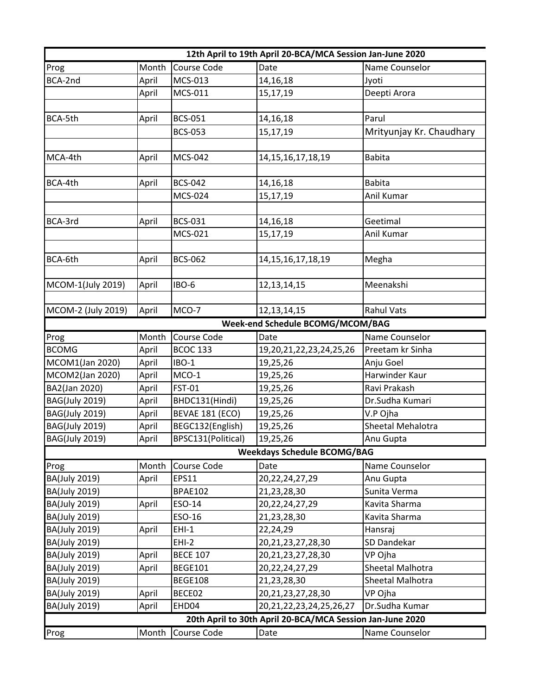| 12th April to 19th April 20-BCA/MCA Session Jan-June 2020 |       |                        |                                    |                          |  |
|-----------------------------------------------------------|-------|------------------------|------------------------------------|--------------------------|--|
| Prog                                                      | Month | Course Code            | Date                               | Name Counselor           |  |
| BCA-2nd                                                   | April | MCS-013                | 14,16,18                           | Jyoti                    |  |
|                                                           | April | MCS-011                | 15,17,19                           | Deepti Arora             |  |
|                                                           |       |                        |                                    |                          |  |
| BCA-5th                                                   | April | <b>BCS-051</b>         | 14, 16, 18                         | Parul                    |  |
|                                                           |       | <b>BCS-053</b>         | 15,17,19                           | Mrityunjay Kr. Chaudhary |  |
|                                                           |       |                        |                                    |                          |  |
| MCA-4th                                                   | April | <b>MCS-042</b>         | 14, 15, 16, 17, 18, 19             | <b>Babita</b>            |  |
|                                                           |       |                        |                                    |                          |  |
| BCA-4th                                                   | April | <b>BCS-042</b>         | 14,16,18                           | <b>Babita</b>            |  |
|                                                           |       | MCS-024                | 15,17,19                           | Anil Kumar               |  |
|                                                           |       |                        |                                    |                          |  |
| BCA-3rd                                                   | April | <b>BCS-031</b>         | 14, 16, 18                         | Geetimal                 |  |
|                                                           |       | MCS-021                | 15,17,19                           | Anil Kumar               |  |
|                                                           |       |                        |                                    |                          |  |
| BCA-6th                                                   | April | <b>BCS-062</b>         | 14, 15, 16, 17, 18, 19             | Megha                    |  |
|                                                           |       |                        |                                    |                          |  |
| MCOM-1(July 2019)                                         | April | IBO-6                  | 12, 13, 14, 15                     | Meenakshi                |  |
|                                                           |       |                        |                                    |                          |  |
| MCOM-2 (July 2019)                                        | April | MCO-7                  | 12, 13, 14, 15                     | <b>Rahul Vats</b>        |  |
|                                                           |       |                        | Week-end Schedule BCOMG/MCOM/BAG   |                          |  |
| Prog                                                      | Month | Course Code            | Date                               | Name Counselor           |  |
| <b>BCOMG</b>                                              | April | <b>BCOC 133</b>        | 19,20,21,22,23,24,25,26            | Preetam kr Sinha         |  |
| MCOM1(Jan 2020)                                           | April | IBO-1                  | 19,25,26                           | Anju Goel                |  |
| MCOM2(Jan 2020)                                           | April | MCO-1                  | 19,25,26                           | Harwinder Kaur           |  |
| BA2(Jan 2020)                                             | April | <b>FST-01</b>          | 19,25,26                           | Ravi Prakash             |  |
| <b>BAG(July 2019)</b>                                     | April | BHDC131(Hindi)         | 19,25,26                           | Dr.Sudha Kumari          |  |
| <b>BAG(July 2019)</b>                                     | April | <b>BEVAE 181 (ECO)</b> | 19,25,26                           | V.P Ojha                 |  |
| <b>BAG(July 2019)</b>                                     | April | BEGC132(English)       | 19,25,26                           | Sheetal Mehalotra        |  |
| <b>BAG(July 2019)</b>                                     | April | BPSC131(Political)     | 19,25,26                           | Anu Gupta                |  |
|                                                           |       |                        | <b>Weekdays Schedule BCOMG/BAG</b> |                          |  |
| Prog                                                      | Month | Course Code            | Date                               | Name Counselor           |  |
| <b>BA(July 2019)</b>                                      | April | <b>EPS11</b>           | 20, 22, 24, 27, 29                 | Anu Gupta                |  |
| BA(July 2019)                                             |       | <b>BPAE102</b>         | 21,23,28,30                        | Sunita Verma             |  |
| <b>BA(July 2019)</b>                                      | April | ESO-14                 | 20, 22, 24, 27, 29                 | Kavita Sharma            |  |
| BA(July 2019)                                             |       | ESO-16                 | 21,23,28,30                        | Kavita Sharma            |  |
| BA(July 2019)                                             | April | $EHI-1$                | 22,24,29                           | Hansraj                  |  |
| <b>BA(July 2019)</b>                                      |       | $EHI-2$                | 20, 21, 23, 27, 28, 30             | SD Dandekar              |  |
| BA(July 2019)                                             | April | <b>BECE 107</b>        | 20, 21, 23, 27, 28, 30             | VP Ojha                  |  |
| BA(July 2019)                                             | April | <b>BEGE101</b>         | 20, 22, 24, 27, 29                 | Sheetal Malhotra         |  |
| <b>BA(July 2019)</b>                                      |       | <b>BEGE108</b>         | 21,23,28,30                        | Sheetal Malhotra         |  |
| <b>BA(July 2019)</b>                                      | April | BECE02                 | 20, 21, 23, 27, 28, 30             | VP Ojha                  |  |
| <b>BA(July 2019)</b>                                      | April | EHD04                  | 20, 21, 22, 23, 24, 25, 26, 27     | Dr.Sudha Kumar           |  |
| 20th April to 30th April 20-BCA/MCA Session Jan-June 2020 |       |                        |                                    |                          |  |
| Prog                                                      | Month | Course Code            | Date                               | Name Counselor           |  |
|                                                           |       |                        |                                    |                          |  |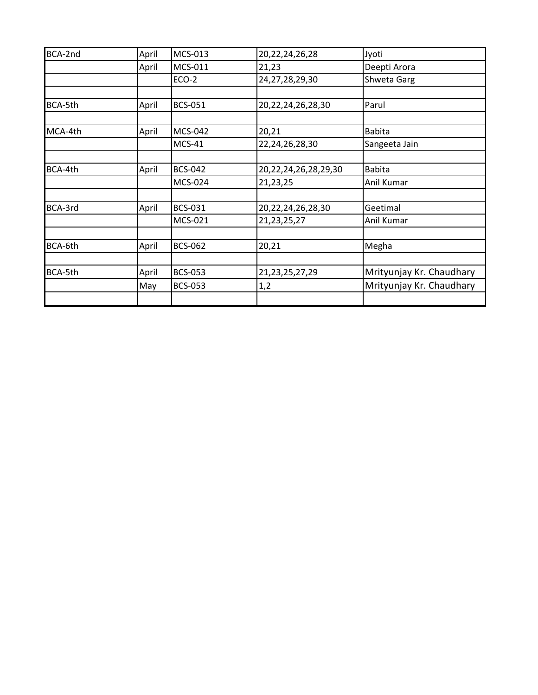| BCA-2nd | April | MCS-013        | 20, 22, 24, 26, 28   | Jyoti                    |
|---------|-------|----------------|----------------------|--------------------------|
|         | April | <b>MCS-011</b> | 21,23                | Deepti Arora             |
|         |       | ECO-2          | 24,27,28,29,30       | Shweta Garg              |
| BCA-5th | April | <b>BCS-051</b> | 20,22,24,26,28,30    | Parul                    |
| MCA-4th | April | <b>MCS-042</b> | 20,21                | <b>Babita</b>            |
|         |       | <b>MCS-41</b>  | 22,24,26,28,30       | Sangeeta Jain            |
| BCA-4th | April | <b>BCS-042</b> | 20,22,24,26,28,29,30 | <b>Babita</b>            |
|         |       | <b>MCS-024</b> | 21,23,25             | Anil Kumar               |
| BCA-3rd | April | <b>BCS-031</b> | 20,22,24,26,28,30    | Geetimal                 |
|         |       | MCS-021        | 21, 23, 25, 27       | Anil Kumar               |
| BCA-6th | April | <b>BCS-062</b> | 20,21                | Megha                    |
| BCA-5th | April | <b>BCS-053</b> | 21, 23, 25, 27, 29   | Mrityunjay Kr. Chaudhary |
|         | May   | <b>BCS-053</b> | 1,2                  | Mrityunjay Kr. Chaudhary |
|         |       |                |                      |                          |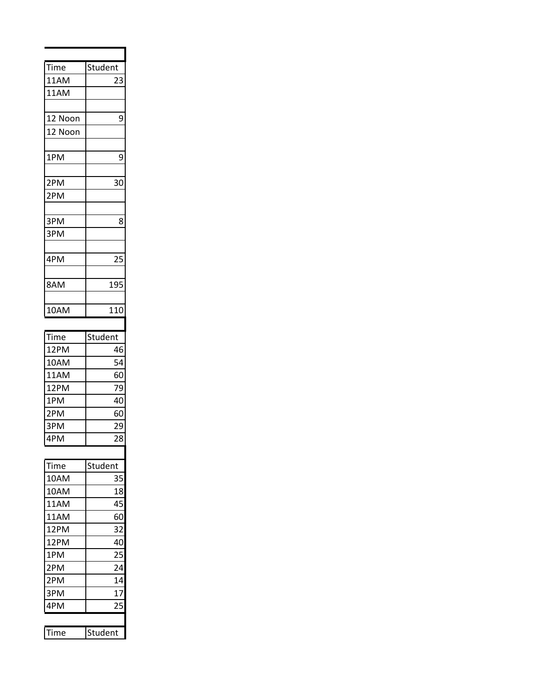| Time    | Student |
|---------|---------|
| 11AM    | 23      |
| 11AM    |         |
|         |         |
| 12 Noon | 9       |
| 12 Noon |         |
|         |         |
| 1PM     | 9       |
|         |         |
| 2PM     | 30      |
| 2PM     |         |
|         |         |
| 3PM     | 8       |
| 3PM     |         |
|         |         |
| 4PM     | 25      |
|         |         |
| 8AM     | 195     |
|         |         |
| 10AM    | 110     |
|         |         |
| Time    | Student |
| 12PM    | 46      |
| 10AM    | 54      |
| 11AM    | 60      |
| 12PM    | 79      |
| 1PM     | 40      |
| 2PM     | 60      |
| 3PM     | 29      |
| 4PM     | 28      |
|         |         |
| ime     | Student |
| 10AM    | 35      |
| 10AM    | 18      |
| 11AM    | 45      |
| 11AM    | 60      |
| 12PM    | 32      |
| 12PM    | 40      |

 $\overline{\phantom{a}}$ 

l,

 $\overline{\phantom{0}}$ 

2PM

4PM

1PM 25<br>2PM 24

2PM 14<br>3PM 17 3PM 17<br>4PM 25

Time Student